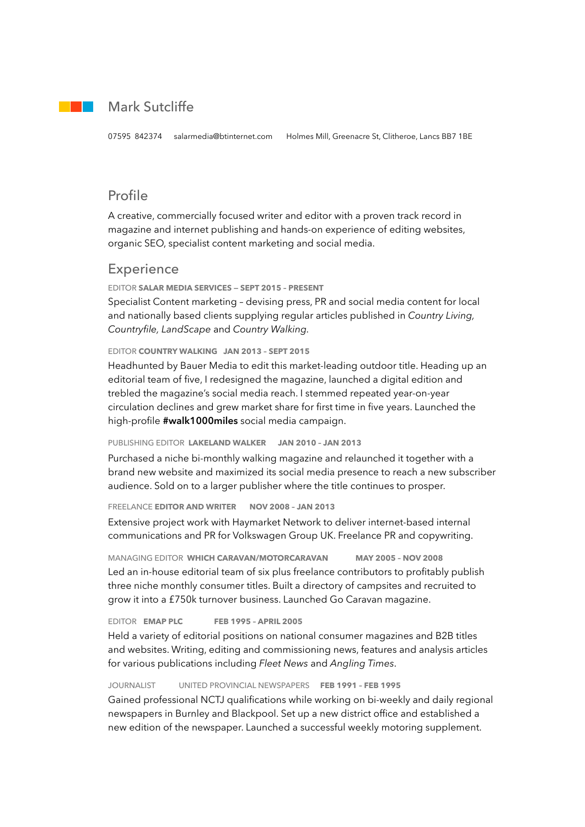## Mark Sutcliffe

# Profile

A creative, commercially focused writer and editor with a proven track record in magazine and internet publishing and hands-on experience of editing websites, organic SEO, specialist content marketing and social media.

### Experience

EDITOR **SALAR MEDIA SERVICES — SEPT 2015 – PRESENT** 

Specialist Content marketing – devising press, PR and social media content for local and nationally based clients supplying regular articles published in *Country Living, Countryfile, LandScape* and *Country Walking.*

#### EDITOR **COUNTRY WALKING JAN 2013 – SEPT 2015**

Headhunted by Bauer Media to edit this market-leading outdoor title. Heading up an editorial team of five, I redesigned the magazine, launched a digital edition and trebled the magazine's social media reach. I stemmed repeated year-on-year circulation declines and grew market share for first time in five years. Launched the high-profile **#walk1000miles** social media campaign.

#### PUBLISHING EDITOR **LAKELAND WALKER JAN 2010 – JAN 2013**

Purchased a niche bi-monthly walking magazine and relaunched it together with a brand new website and maximized its social media presence to reach a new subscriber audience. Sold on to a larger publisher where the title continues to prosper.

#### FREELANCE **EDITOR AND WRITER NOV 2008 – JAN 2013**

Extensive project work with Haymarket Network to deliver internet-based internal communications and PR for Volkswagen Group UK. Freelance PR and copywriting.

MANAGING EDITOR **WHICH CARAVAN/MOTORCARAVAN MAY 2005 – NOV 2008**  Led an in-house editorial team of six plus freelance contributors to profitably publish three niche monthly consumer titles. Built a directory of campsites and recruited to grow it into a £750k turnover business. Launched Go Caravan magazine.

EDITOR **EMAP PLC FEB 1995 – APRIL 2005** 

Held a variety of editorial positions on national consumer magazines and B2B titles and websites. Writing, editing and commissioning news, features and analysis articles for various publications including *Fleet News* and *Angling Times*.

JOURNALIST UNITED PROVINCIAL NEWSPAPERS **FEB 1991 – FEB 1995**

Gained professional NCTJ qualifications while working on bi-weekly and daily regional newspapers in Burnley and Blackpool. Set up a new district office and established a new edition of the newspaper. Launched a successful weekly motoring supplement.